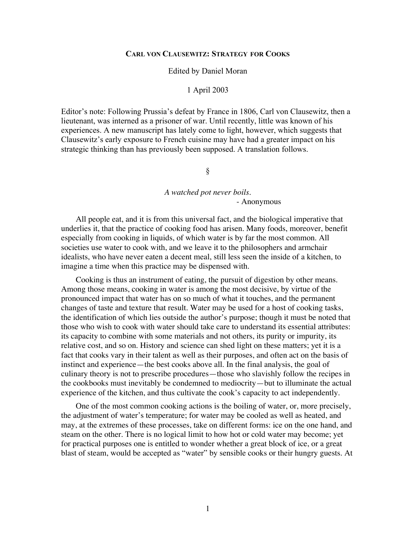#### **CARL VON CLAUSEWITZ: STRATEGY FOR COOKS**

#### Edited by Daniel Moran

### 1 April 2003

Editor's note: Following Prussia's defeat by France in 1806, Carl von Clausewitz, then a lieutenant, was interned as a prisoner of war. Until recently, little was known of his experiences. A new manuscript has lately come to light, however, which suggests that Clausewitz's early exposure to French cuisine may have had a greater impact on his strategic thinking than has previously been supposed. A translation follows.

## §

# *A watched pot never boils.* - Anonymous

All people eat, and it is from this universal fact, and the biological imperative that underlies it, that the practice of cooking food has arisen. Many foods, moreover, benefit especially from cooking in liquids, of which water is by far the most common. All societies use water to cook with, and we leave it to the philosophers and armchair idealists, who have never eaten a decent meal, still less seen the inside of a kitchen, to imagine a time when this practice may be dispensed with.

Cooking is thus an instrument of eating, the pursuit of digestion by other means. Among those means, cooking in water is among the most decisive, by virtue of the pronounced impact that water has on so much of what it touches, and the permanent changes of taste and texture that result. Water may be used for a host of cooking tasks, the identification of which lies outside the author's purpose; though it must be noted that those who wish to cook with water should take care to understand its essential attributes: its capacity to combine with some materials and not others, its purity or impurity, its relative cost, and so on. History and science can shed light on these matters; yet it is a fact that cooks vary in their talent as well as their purposes, and often act on the basis of instinct and experience—the best cooks above all. In the final analysis, the goal of culinary theory is not to prescribe procedures—those who slavishly follow the recipes in the cookbooks must inevitably be condemned to mediocrity—but to illuminate the actual experience of the kitchen, and thus cultivate the cook's capacity to act independently.

One of the most common cooking actions is the boiling of water, or, more precisely, the adjustment of water's temperature; for water may be cooled as well as heated, and may, at the extremes of these processes, take on different forms: ice on the one hand, and steam on the other. There is no logical limit to how hot or cold water may become; yet for practical purposes one is entitled to wonder whether a great block of ice, or a great blast of steam, would be accepted as "water" by sensible cooks or their hungry guests. At